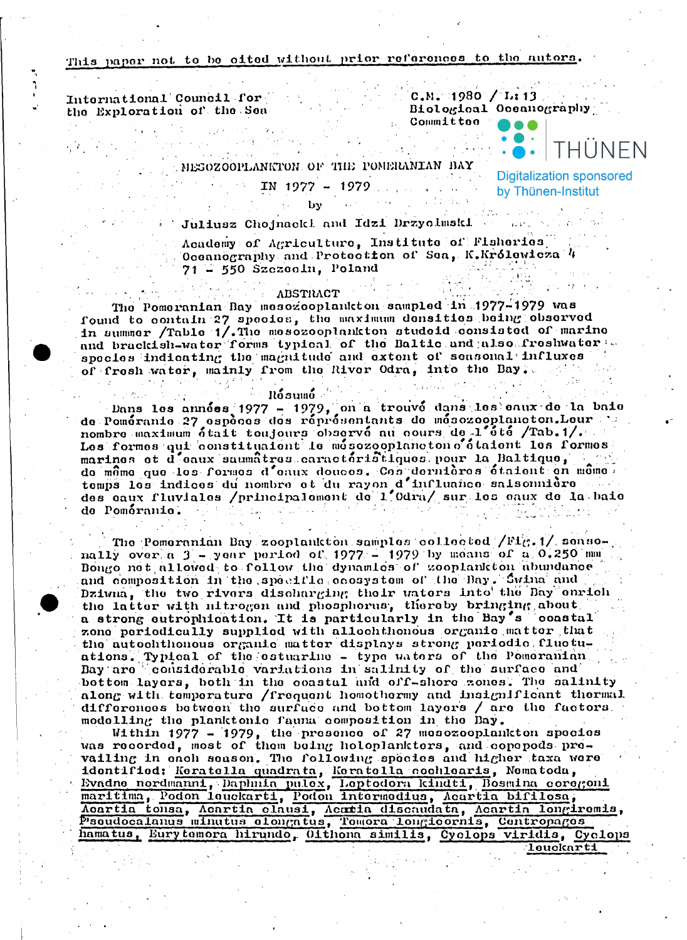## This paper not to be eited without prior references to the autors.

International Council for the Exploration of the Sea

 $C.M. 1980$  / L: 13 Biological Oceanography

Committee

MESOZOOPLANKTON OF THE POMERANIAN BAY

## $IN$  1977 - 1979.

**Digitalization sponsored** by Thünen-Institut

IHUNFN

Juliusz Chojnacki and Idzi Drzycimski

Academy of Agriculture, Institute of Fisheries. Oceanography and Protection of Sea, K.Królewicza 4 71 - 550 Szczecin, Poland

## **ABSTRACT**

The Pomeranian Day mesozooplankton sampled in 1977-1979 was found to contain 27 species, the maximum densities being observed<br>in summer /Table 1/.The mesozooplankton studeid consisted of marine and brackish-water forms typical of the Baltic and also freshwater apocies indicating the magnitude and extent of seasonal influxes of fresh water, mainly from the River Odra, into the Bay.

## **Rosumo**

Dans les années 1977 - 1979, on a trouvé dans les eaux de la baie<br>de Poméranie 27 espèces des réprésentants de mésozooplancton.Leur nombre maximum était toujours observé au cours de l'été /Tab.1/. marines et d'eaux saumatres caracteristiques pour la Baltique, de même que les formes d'eaux douces. Ces dernières étaient en même de Poméranie. Australia المحافظ والمحارب والمطارح

The Pomeranian Bay zooplankton samples collected  $/Fi_{\mathcal{G}}$ .1/ seasonally over a  $3$  - year period of 1977 - 1979 by means of a  $0.250$  mm Bongo not allowed to follow the dynamics of zooplankton abundance and composition in the specific coosystem of the Bay. Swina and Dziwna, the two rivers discharging their waters into the Bay enrich the latter with nitrogen and phosphorus, thereby bringing about a strong cutrophication. It is particularly in the Bay's coastal zone periodically supplied with allochthonous organic matter that the autochthonous organic matter displays strong periodic fluctuations. Typical of the estuarine - type vaters of the Pomeranian Bay are considerable variations in salinity of the surface and bottom layers, both in the coastal and off-shore zones. The salinity along with temperature / frequent homothermy and insignificant thermal differences between the surface and bettem layers / are the factors. modelling the planktonic fauna composition in the Day.

Within 1977 - 1979, the presence of 27 mesozooplankton species<br>was recorded, most of them being holoplankters, and copepods prevailing in each season. The following species and higher taxa were Valling in enon season. Ine formula species and might was well-<br>identified: Keratella quadrata, Keratella coolidents, Nematoda,<br>Evadne nordmanni, Daphnia pulex, Leptodora kindti, Bosmina coregoni<br>maritima, Podon leuckarti,

leuckarti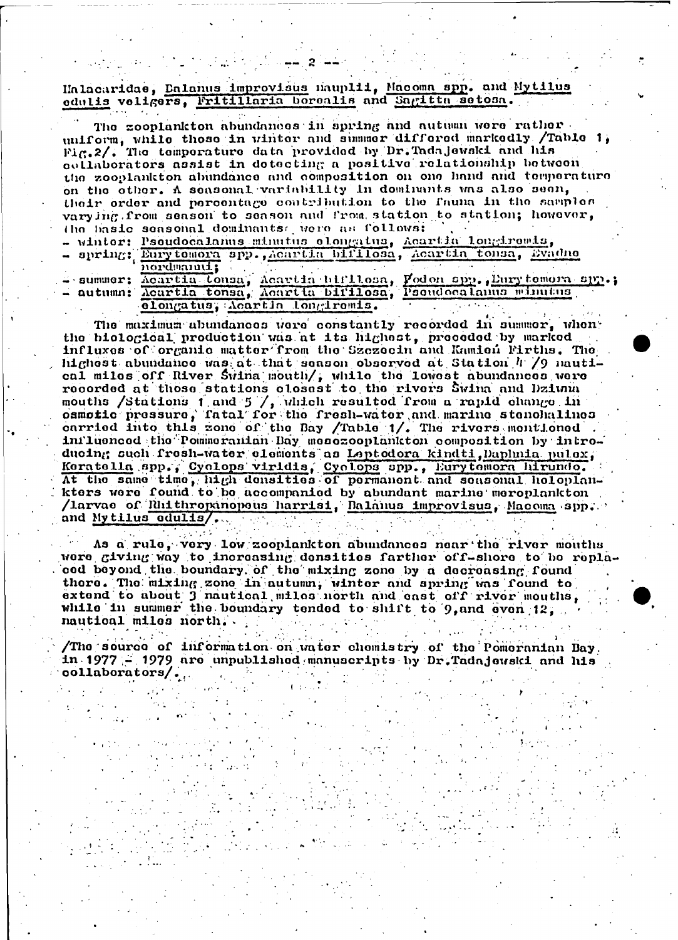Halacaridae, Dalanus improvisus nauplii, Macoma spp. and Mytilus edulis veligers, Fritillaria borealis and Sagitta setosa.

| The zooplankton abundances in spring and autumn were rather.          |
|-----------------------------------------------------------------------|
| uniform, while those in winter and summer differed markedly /Table 1. |
| Fig. 2/. The temperature data provided by Dr. Tada jewski and his     |
| collaborators assist in detecting a positive relationship between     |
| the zooplankton abundance and composition on one hand and temperature |
| on the other. A seasonal variability in dominants was also seen,      |
| their order and percentage contribution to the fauna in the samples   |
| varying from season to season and from station to station; however,   |
| the basic seasonal deminants were as follows:                         |
| - winter: Pseudocalanus minutus elengatus, Acartia lengiromis,        |
| - spring; Eurytomora spp., Acartia bifilosa, Acartia tonsa, Evadno    |
| . 1                                                                   |

semmer: Acartia Lonsa, Acartia birllosa, Fodon spp., Eurytomora spp.; elongatus, Acartin longiromis.

The maximum abundances were constantly recorded in summer, when the biological production was at its highest, proceded by marked influxes of organic matter from the Szczecin and Kamien Firths. The highest abundance was at that season observed at Station 4 /9 nautical milos off River Swina mouth/, while the lowest abundances were recorded at these stations closest to the rivers Swina and Dzium mouths /Stations 1 and 5 /, which resulted from a rapid change in osmotic pressure, fatal for the fresh-water and marine stenchalines carried into this zone of the Bay /Table 1/. The rivers montioned inilusneed the Pommeranian Bay mesozooplankton composition by introducing such fresh-water elements as Leptodora kindti, Daplmia pulox, Keratella spp., Cyclops viridis, Cyclops spp., Eurytemora hirundo. At the same time, high densities of permanent and seasonal holoplankters were found to be accompanied by abundant marine meroplankton /larvae of Rhithropanopeus harrisi, Ralanus improvisus, Macoma spp. and Mytilus odulis/.

As a rule, very low zooplankton abundances near the river mouths were giving way to increasing densities farther off-shore to be replacod beyond the boundary of the mixing zone by a decreasing found there. The mixing zone in autumn, winter and spring was found to extend to about 3 mattical miles north and east off river mouths, while in summer the boundary tended to shift to 9, and even 12, nautical miles north.

/The source of information on water chemistry of the Pomeranian Bay, in 1977 - 1979 are unpublished manuscripts by Dr.Tadajewski and his  $\texttt{collaborators}/\ldots$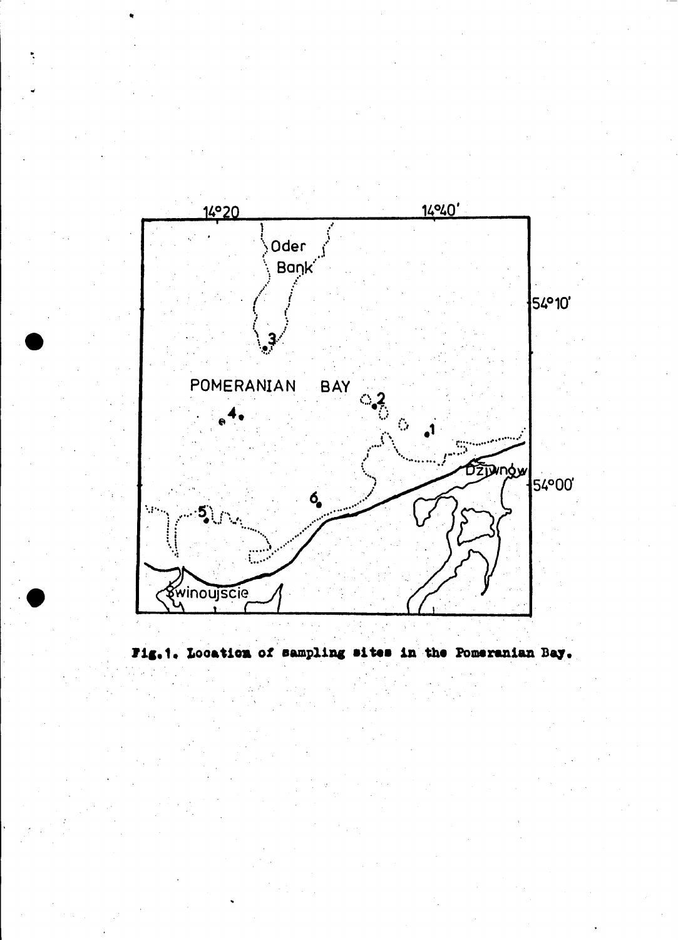

Fig.1. Location of sampling sites in the Pomeranian Bay.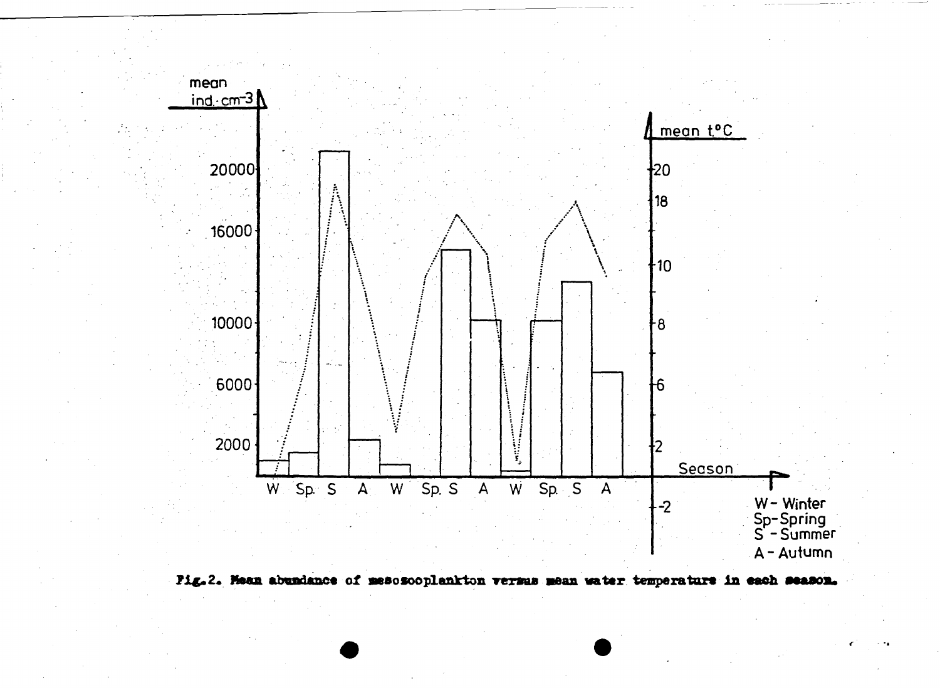